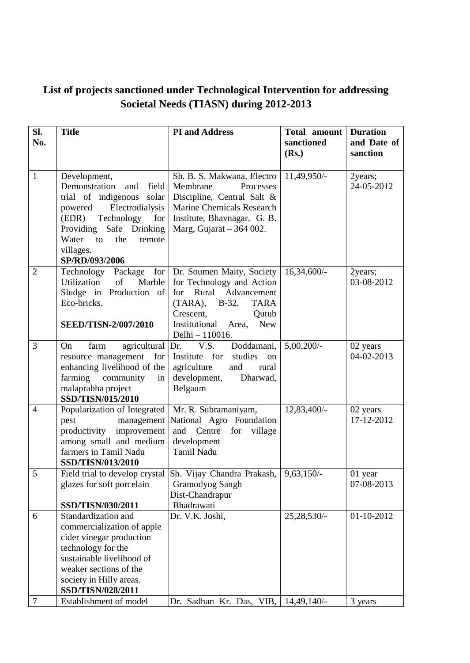## **List of projects sanctioned under Technological Intervention for addressing Societal Needs (TIASN) during 2012-2013**

| Sl.<br>No.     | <b>Title</b>                                                                                                                                                                                                                     | <b>PI</b> and Address                                                                                                                                                                                  | Total amount<br>sanctioned<br>(Rs.) | <b>Duration</b><br>and Date of<br>sanction |
|----------------|----------------------------------------------------------------------------------------------------------------------------------------------------------------------------------------------------------------------------------|--------------------------------------------------------------------------------------------------------------------------------------------------------------------------------------------------------|-------------------------------------|--------------------------------------------|
| $\mathbf{1}$   | Development,<br>Demonstration<br>field<br>and<br>trial of indigenous solar<br>powered<br>Electrodialysis<br>(EDR)<br>Technology<br>for<br>Providing Safe Drinking<br>Water<br>to<br>the<br>remote<br>villages.<br>SP/RD/093/2006 | Sh. B. S. Makwana, Electro<br>Membrane<br>Processes<br>Discipline, Central Salt &<br><b>Marine Chemicals Research</b><br>Institute, Bhavnagar, G. B.<br>Marg, Gujarat $-364002$ .                      | 11,49,950/-                         | 2years;<br>24-05-2012                      |
| $\overline{2}$ | Technology<br>Package<br>for<br>Utilization<br>of<br>Marble<br>Sludge in Production of<br>Eco-bricks.<br><b>SEED/TISN-2/007/2010</b>                                                                                             | Dr. Soumen Maity, Society<br>for Technology and Action<br>Rural Advancement<br>for<br>$(TARA)$ , B-32,<br><b>TARA</b><br>Crescent,<br>Qutub<br>Institutional<br><b>New</b><br>Area,<br>Delhi - 110016. | $16,34,600/-$                       | 2years;<br>03-08-2012                      |
| 3              | agricultural Dr.<br>On<br>farm<br>resource management<br>for<br>enhancing livelihood of the<br>farming<br>community<br>in<br>malaprabha project<br>SSD/TISN/015/2010                                                             | V.S.<br>Doddamani,<br>studies<br>Institute for<br>on<br>agriculture<br>and<br>rural<br>development,<br>Dharwad,<br>Belgaum                                                                             | $5,00,200/$ -                       | 02 years<br>04-02-2013                     |
| $\overline{4}$ | Popularization of Integrated<br>pest<br>management<br>productivity improvement<br>among small and medium<br>farmers in Tamil Nadu<br><b>SSD/TISN/013/2010</b>                                                                    | Mr. R. Subramaniyam,<br>National Agro Foundation<br>and Centre<br>village<br>for<br>development<br>Tamil Nadu                                                                                          | 12,83,400/-                         | 02 years<br>17-12-2012                     |
| 5              | glazes for soft porcelain<br>SSD/TISN/030/2011                                                                                                                                                                                   | Field trial to develop crystal Sh. Vijay Chandra Prakash,  <br><b>Gramodyog Sangh</b><br>Dist-Chandrapur<br>Bhadrawati                                                                                 | $9,63,150/-$                        | 01 year<br>07-08-2013                      |
| 6              | Standardization and<br>commercialization of apple<br>cider vinegar production<br>technology for the<br>sustainable livelihood of<br>weaker sections of the<br>society in Hilly areas.<br>SSD/TISN/028/2011                       | Dr. V.K. Joshi,                                                                                                                                                                                        | 25,28,530/-                         | 01-10-2012                                 |
| 7              | Establishment of model                                                                                                                                                                                                           | Dr. Sadhan Kr. Das, VIB,                                                                                                                                                                               | 14,49,140/                          | 3 years                                    |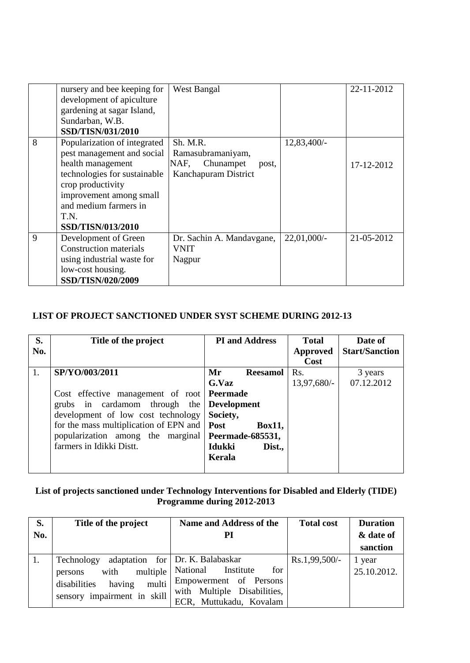|             | nursery and bee keeping for<br>development of apiculture<br>gardening at sagar Island,<br>Sundarban, W.B.<br><b>SSD/TISN/031/2010</b> | <b>West Bangal</b>         |               | 22-11-2012 |
|-------------|---------------------------------------------------------------------------------------------------------------------------------------|----------------------------|---------------|------------|
| 8           | Popularization of integrated                                                                                                          | Sh. M.R.                   | 12,83,400/-   |            |
|             | pest management and social                                                                                                            | Ramasubramaniyam,          |               |            |
|             | health management                                                                                                                     | Chunampet<br>NAF,<br>post, |               | 17-12-2012 |
|             | technologies for sustainable                                                                                                          | Kanchapuram District       |               |            |
|             | crop productivity                                                                                                                     |                            |               |            |
|             | improvement among small                                                                                                               |                            |               |            |
|             | and medium farmers in                                                                                                                 |                            |               |            |
|             | T.N.                                                                                                                                  |                            |               |            |
|             | <b>SSD/TISN/013/2010</b>                                                                                                              |                            |               |            |
| $\mathbf Q$ | Development of Green                                                                                                                  | Dr. Sachin A. Mandavgane,  | $22,01,000/-$ | 21-05-2012 |
|             | <b>Construction materials</b>                                                                                                         | VNIT                       |               |            |
|             | using industrial waste for                                                                                                            | Nagpur                     |               |            |
|             | low-cost housing.                                                                                                                     |                            |               |            |
|             | SSD/TISN/020/2009                                                                                                                     |                            |               |            |

## **LIST OF PROJECT SANCTIONED UNDER SYST SCHEME DURING 2012-13**

| S.  | Title of the project                                       | <b>PI</b> and Address | <b>Total</b>     | Date of               |
|-----|------------------------------------------------------------|-----------------------|------------------|-----------------------|
| No. |                                                            |                       | <b>Approved</b>  | <b>Start/Sanction</b> |
|     |                                                            |                       | Cost             |                       |
| 1.  | SP/YO/003/2011                                             | Mr<br><b>Reesamol</b> | R <sub>s</sub> . | 3 years               |
|     |                                                            | G.Vaz                 | $13,97,680/-$    | 07.12.2012            |
|     | Cost effective management of root <b>Peermade</b>          |                       |                  |                       |
|     | grubs in cardamom through the Development                  |                       |                  |                       |
|     | development of low cost technology                         | Society,              |                  |                       |
|     | for the mass multiplication of EPN and <b>Post</b>         | <b>Box11,</b>         |                  |                       |
|     | popularization among the marginal <b>Peermade-685531</b> , |                       |                  |                       |
|     | farmers in Idikki Distt.                                   | Idukki<br>Dist.       |                  |                       |
|     |                                                            | Kerala                |                  |                       |
|     |                                                            |                       |                  |                       |

## **List of projects sanctioned under Technology Interventions for Disabled and Elderly (TIDE) Programme during 2012-2013**

| S.  | Title of the project                                                                            | Name and Address of the                                                                                                                                      | <b>Total cost</b> | <b>Duration</b>       |
|-----|-------------------------------------------------------------------------------------------------|--------------------------------------------------------------------------------------------------------------------------------------------------------------|-------------------|-----------------------|
| No. |                                                                                                 | PI                                                                                                                                                           |                   | & date of             |
|     |                                                                                                 |                                                                                                                                                              |                   | sanction              |
|     | Technology<br>with<br>persons<br>disabilities<br>having<br>multi<br>sensory impairment in skill | adaptation for Dr. K. Balabaskar<br>for<br>multiple   National Institute<br>Empowerment of Persons<br>with Multiple Disabilities,<br>ECR, Muttukadu, Kovalam | $Rs.1,99,500/-$   | 1 year<br>25.10.2012. |